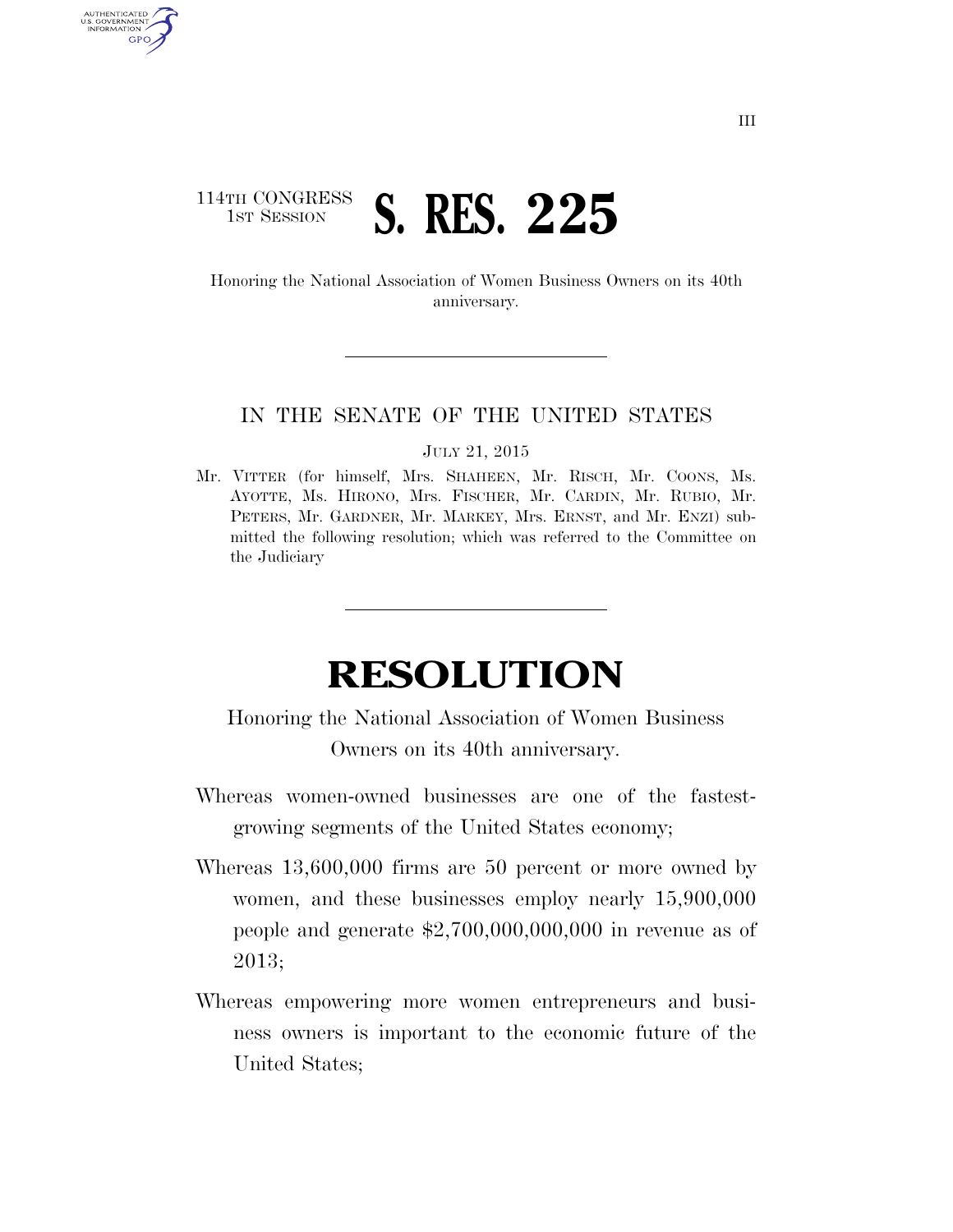## 114TH CONGRESS **1ST SESSION S. RES. 225**

AUTHENTICATED U.S. GOVERNMENT **GPO** 

> Honoring the National Association of Women Business Owners on its 40th anniversary.

## IN THE SENATE OF THE UNITED STATES

## JULY 21, 2015

Mr. VITTER (for himself, Mrs. SHAHEEN, Mr. RISCH, Mr. COONS, Ms. AYOTTE, Ms. HIRONO, Mrs. FISCHER, Mr. CARDIN, Mr. RUBIO, Mr. PETERS, Mr. GARDNER, Mr. MARKEY, Mrs. ERNST, and Mr. ENZI) submitted the following resolution; which was referred to the Committee on the Judiciary

## **RESOLUTION**

Honoring the National Association of Women Business Owners on its 40th anniversary.

- Whereas women-owned businesses are one of the fastestgrowing segments of the United States economy;
- Whereas 13,600,000 firms are 50 percent or more owned by women, and these businesses employ nearly 15,900,000 people and generate \$2,700,000,000,000 in revenue as of 2013;
- Whereas empowering more women entrepreneurs and business owners is important to the economic future of the United States;